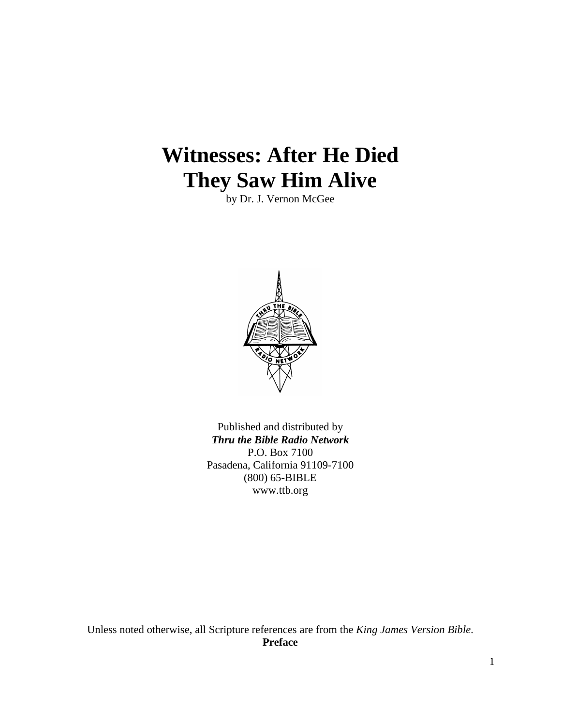# **Witnesses: After He Died They Saw Him Alive**

by Dr. J. Vernon McGee



Published and distributed by *Thru the Bible Radio Network* P.O. Box 7100 Pasadena, California 91109-7100 (800) 65-BIBLE www.ttb.org

Unless noted otherwise, all Scripture references are from the *King James Version Bible*. **Preface**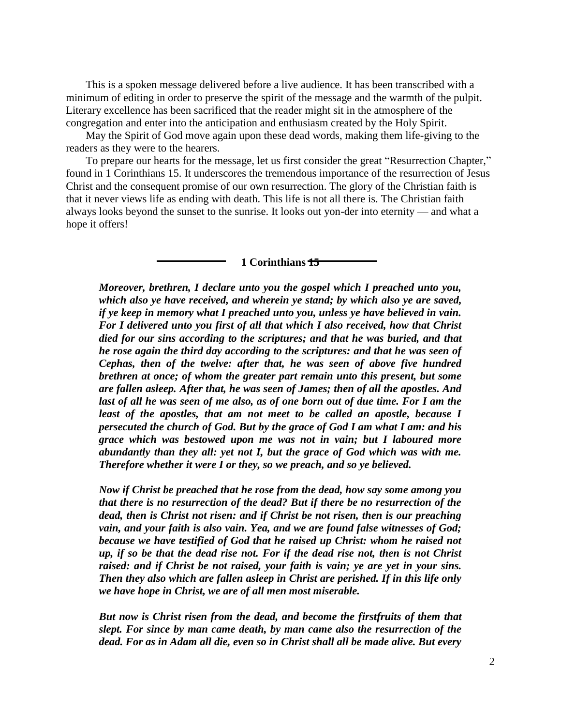This is a spoken message delivered before a live audience. It has been transcribed with a minimum of editing in order to preserve the spirit of the message and the warmth of the pulpit. Literary excellence has been sacrificed that the reader might sit in the atmosphere of the congregation and enter into the anticipation and enthusiasm created by the Holy Spirit.

May the Spirit of God move again upon these dead words, making them life-giving to the readers as they were to the hearers.

To prepare our hearts for the message, let us first consider the great "Resurrection Chapter," found in 1 Corinthians 15. It underscores the tremendous importance of the resurrection of Jesus Christ and the consequent promise of our own resurrection. The glory of the Christian faith is that it never views life as ending with death. This life is not all there is. The Christian faith always looks beyond the sunset to the sunrise. It looks out yon-der into eternity — and what a hope it offers!

**1 Corinthians 15**

*Moreover, brethren, I declare unto you the gospel which I preached unto you, which also ye have received, and wherein ye stand; by which also ye are saved, if ye keep in memory what I preached unto you, unless ye have believed in vain. For I delivered unto you first of all that which I also received, how that Christ died for our sins according to the scriptures; and that he was buried, and that he rose again the third day according to the scriptures: and that he was seen of Cephas, then of the twelve: after that, he was seen of above five hundred brethren at once; of whom the greater part remain unto this present, but some are fallen asleep. After that, he was seen of James; then of all the apostles. And*  last of all he was seen of me also, as of one born out of due time. For I am the *least of the apostles, that am not meet to be called an apostle, because I persecuted the church of God. But by the grace of God I am what I am: and his grace which was bestowed upon me was not in vain; but I laboured more abundantly than they all: yet not I, but the grace of God which was with me. Therefore whether it were I or they, so we preach, and so ye believed.* 

*Now if Christ be preached that he rose from the dead, how say some among you that there is no resurrection of the dead? But if there be no resurrection of the dead, then is Christ not risen: and if Christ be not risen, then is our preaching vain, and your faith is also vain. Yea, and we are found false witnesses of God; because we have testified of God that he raised up Christ: whom he raised not up, if so be that the dead rise not. For if the dead rise not, then is not Christ raised: and if Christ be not raised, your faith is vain; ye are yet in your sins. Then they also which are fallen asleep in Christ are perished. If in this life only we have hope in Christ, we are of all men most miserable.* 

*But now is Christ risen from the dead, and become the firstfruits of them that slept. For since by man came death, by man came also the resurrection of the dead. For as in Adam all die, even so in Christ shall all be made alive. But every*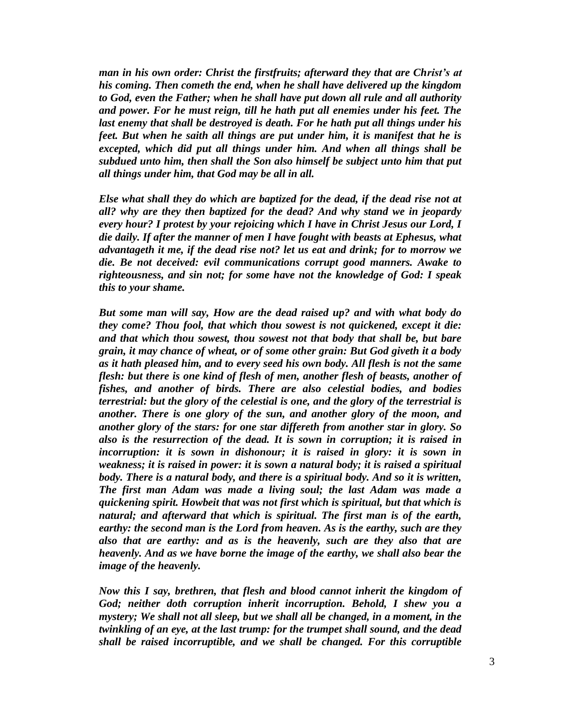*man in his own order: Christ the firstfruits; afterward they that are Christ's at his coming. Then cometh the end, when he shall have delivered up the kingdom to God, even the Father; when he shall have put down all rule and all authority and power. For he must reign, till he hath put all enemies under his feet. The last enemy that shall be destroyed is death. For he hath put all things under his feet. But when he saith all things are put under him, it is manifest that he is excepted, which did put all things under him. And when all things shall be subdued unto him, then shall the Son also himself be subject unto him that put all things under him, that God may be all in all.*

*Else what shall they do which are baptized for the dead, if the dead rise not at all? why are they then baptized for the dead? And why stand we in jeopardy every hour? I protest by your rejoicing which I have in Christ Jesus our Lord, I die daily. If after the manner of men I have fought with beasts at Ephesus, what advantageth it me, if the dead rise not? let us eat and drink; for to morrow we die. Be not deceived: evil communications corrupt good manners. Awake to righteousness, and sin not; for some have not the knowledge of God: I speak this to your shame.*

*But some man will say, How are the dead raised up? and with what body do they come? Thou fool, that which thou sowest is not quickened, except it die: and that which thou sowest, thou sowest not that body that shall be, but bare grain, it may chance of wheat, or of some other grain: But God giveth it a body as it hath pleased him, and to every seed his own body. All flesh is not the same flesh: but there is one kind of flesh of men, another flesh of beasts, another of fishes, and another of birds. There are also celestial bodies, and bodies terrestrial: but the glory of the celestial is one, and the glory of the terrestrial is another. There is one glory of the sun, and another glory of the moon, and another glory of the stars: for one star differeth from another star in glory. So also is the resurrection of the dead. It is sown in corruption; it is raised in incorruption: it is sown in dishonour; it is raised in glory: it is sown in weakness; it is raised in power: it is sown a natural body; it is raised a spiritual body. There is a natural body, and there is a spiritual body. And so it is written, The first man Adam was made a living soul; the last Adam was made a quickening spirit. Howbeit that was not first which is spiritual, but that which is natural; and afterward that which is spiritual. The first man is of the earth, earthy: the second man is the Lord from heaven. As is the earthy, such are they also that are earthy: and as is the heavenly, such are they also that are heavenly. And as we have borne the image of the earthy, we shall also bear the image of the heavenly.*

*Now this I say, brethren, that flesh and blood cannot inherit the kingdom of God; neither doth corruption inherit incorruption. Behold, I shew you a mystery; We shall not all sleep, but we shall all be changed, in a moment, in the twinkling of an eye, at the last trump: for the trumpet shall sound, and the dead shall be raised incorruptible, and we shall be changed. For this corruptible*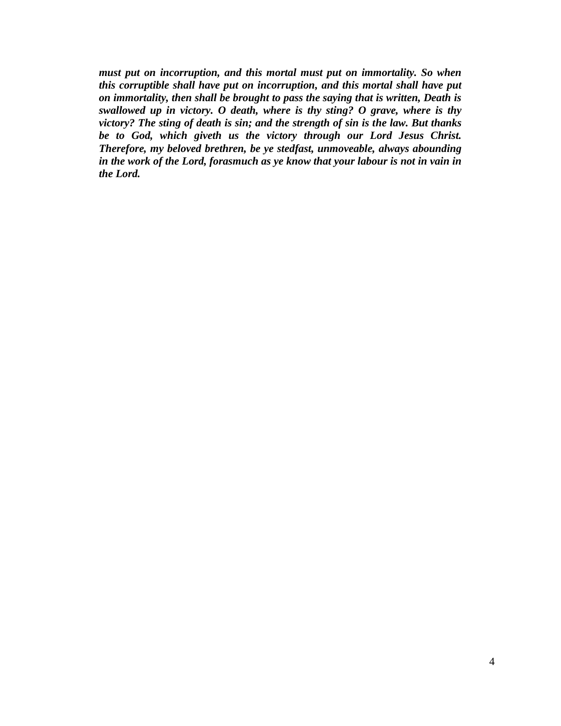*must put on incorruption, and this mortal must put on immortality. So when this corruptible shall have put on incorruption, and this mortal shall have put on immortality, then shall be brought to pass the saying that is written, Death is swallowed up in victory. O death, where is thy sting? O grave, where is thy victory? The sting of death is sin; and the strength of sin is the law. But thanks be to God, which giveth us the victory through our Lord Jesus Christ. Therefore, my beloved brethren, be ye stedfast, unmoveable, always abounding in the work of the Lord, forasmuch as ye know that your labour is not in vain in the Lord.*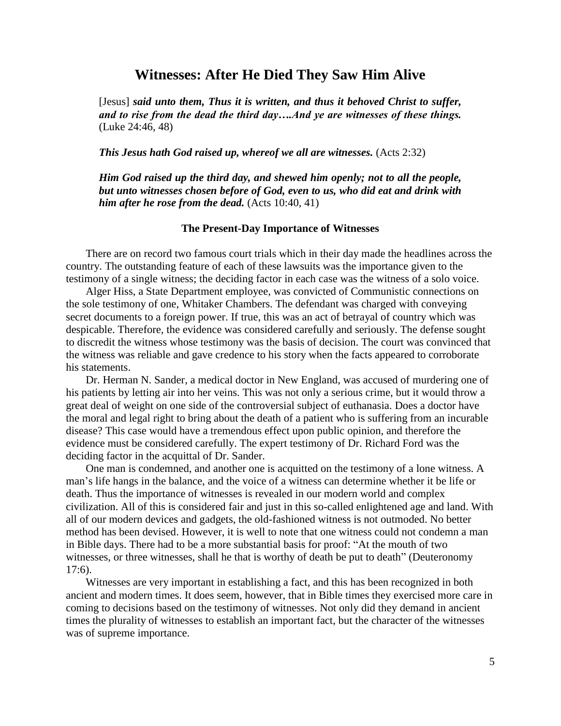# **Witnesses: After He Died They Saw Him Alive**

[Jesus] *said unto them, Thus it is written, and thus it behoved Christ to suffer, and to rise from the dead the third day….And ye are witnesses of these things.*  (Luke 24:46, 48)

*This Jesus hath God raised up, whereof we all are witnesses.* (Acts 2:32)

*Him God raised up the third day, and shewed him openly; not to all the people, but unto witnesses chosen before of God, even to us, who did eat and drink with him after he rose from the dead.* (Acts 10:40, 41)

# **The Present-Day Importance of Witnesses**

There are on record two famous court trials which in their day made the headlines across the country. The outstanding feature of each of these lawsuits was the importance given to the testimony of a single witness; the deciding factor in each case was the witness of a solo voice.

Alger Hiss, a State Department employee, was convicted of Communistic connections on the sole testimony of one, Whitaker Chambers. The defendant was charged with conveying secret documents to a foreign power. If true, this was an act of betrayal of country which was despicable. Therefore, the evidence was considered carefully and seriously. The defense sought to discredit the witness whose testimony was the basis of decision. The court was convinced that the witness was reliable and gave credence to his story when the facts appeared to corroborate his statements.

Dr. Herman N. Sander, a medical doctor in New England, was accused of murdering one of his patients by letting air into her veins. This was not only a serious crime, but it would throw a great deal of weight on one side of the controversial subject of euthanasia. Does a doctor have the moral and legal right to bring about the death of a patient who is suffering from an incurable disease? This case would have a tremendous effect upon public opinion, and therefore the evidence must be considered carefully. The expert testimony of Dr. Richard Ford was the deciding factor in the acquittal of Dr. Sander.

One man is condemned, and another one is acquitted on the testimony of a lone witness. A man's life hangs in the balance, and the voice of a witness can determine whether it be life or death. Thus the importance of witnesses is revealed in our modern world and complex civilization. All of this is considered fair and just in this so-called enlightened age and land. With all of our modern devices and gadgets, the old-fashioned witness is not outmoded. No better method has been devised. However, it is well to note that one witness could not condemn a man in Bible days. There had to be a more substantial basis for proof: "At the mouth of two witnesses, or three witnesses, shall he that is worthy of death be put to death" (Deuteronomy 17:6).

Witnesses are very important in establishing a fact, and this has been recognized in both ancient and modern times. It does seem, however, that in Bible times they exercised more care in coming to decisions based on the testimony of witnesses. Not only did they demand in ancient times the plurality of witnesses to establish an important fact, but the character of the witnesses was of supreme importance.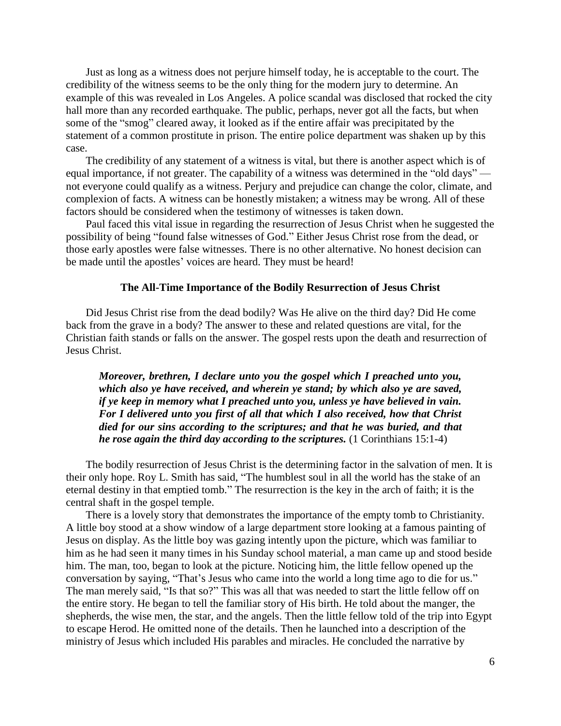Just as long as a witness does not perjure himself today, he is acceptable to the court. The credibility of the witness seems to be the only thing for the modern jury to determine. An example of this was revealed in Los Angeles. A police scandal was disclosed that rocked the city hall more than any recorded earthquake. The public, perhaps, never got all the facts, but when some of the "smog" cleared away, it looked as if the entire affair was precipitated by the statement of a common prostitute in prison. The entire police department was shaken up by this case.

The credibility of any statement of a witness is vital, but there is another aspect which is of equal importance, if not greater. The capability of a witness was determined in the "old days" not everyone could qualify as a witness. Perjury and prejudice can change the color, climate, and complexion of facts. A witness can be honestly mistaken; a witness may be wrong. All of these factors should be considered when the testimony of witnesses is taken down.

Paul faced this vital issue in regarding the resurrection of Jesus Christ when he suggested the possibility of being "found false witnesses of God." Either Jesus Christ rose from the dead, or those early apostles were false witnesses. There is no other alternative. No honest decision can be made until the apostles' voices are heard. They must be heard!

### **The All-Time Importance of the Bodily Resurrection of Jesus Christ**

Did Jesus Christ rise from the dead bodily? Was He alive on the third day? Did He come back from the grave in a body? The answer to these and related questions are vital, for the Christian faith stands or falls on the answer. The gospel rests upon the death and resurrection of Jesus Christ.

*Moreover, brethren, I declare unto you the gospel which I preached unto you, which also ye have received, and wherein ye stand; by which also ye are saved, if ye keep in memory what I preached unto you, unless ye have believed in vain. For I delivered unto you first of all that which I also received, how that Christ died for our sins according to the scriptures; and that he was buried, and that he rose again the third day according to the scriptures.* (1 Corinthians 15:1-4)

The bodily resurrection of Jesus Christ is the determining factor in the salvation of men. It is their only hope. Roy L. Smith has said, "The humblest soul in all the world has the stake of an eternal destiny in that emptied tomb." The resurrection is the key in the arch of faith; it is the central shaft in the gospel temple.

There is a lovely story that demonstrates the importance of the empty tomb to Christianity. A little boy stood at a show window of a large department store looking at a famous painting of Jesus on display. As the little boy was gazing intently upon the picture, which was familiar to him as he had seen it many times in his Sunday school material, a man came up and stood beside him. The man, too, began to look at the picture. Noticing him, the little fellow opened up the conversation by saying, "That's Jesus who came into the world a long time ago to die for us." The man merely said, "Is that so?" This was all that was needed to start the little fellow off on the entire story. He began to tell the familiar story of His birth. He told about the manger, the shepherds, the wise men, the star, and the angels. Then the little fellow told of the trip into Egypt to escape Herod. He omitted none of the details. Then he launched into a description of the ministry of Jesus which included His parables and miracles. He concluded the narrative by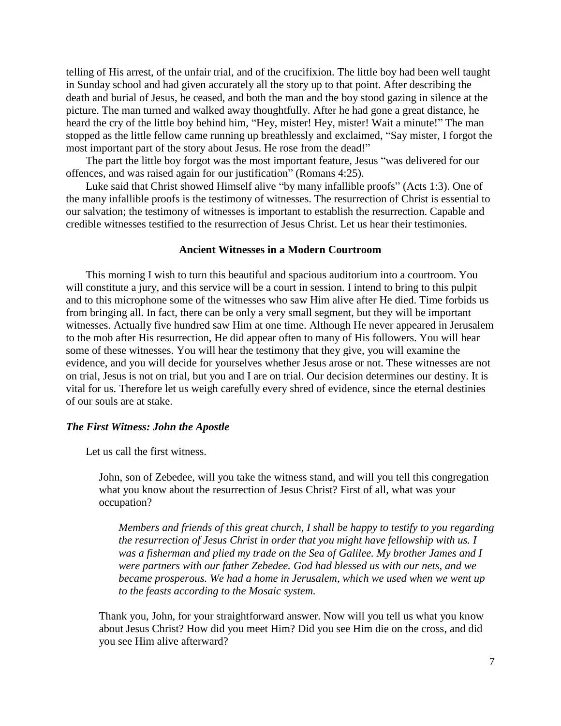telling of His arrest, of the unfair trial, and of the crucifixion. The little boy had been well taught in Sunday school and had given accurately all the story up to that point. After describing the death and burial of Jesus, he ceased, and both the man and the boy stood gazing in silence at the picture. The man turned and walked away thoughtfully. After he had gone a great distance, he heard the cry of the little boy behind him, "Hey, mister! Hey, mister! Wait a minute!" The man stopped as the little fellow came running up breathlessly and exclaimed, "Say mister, I forgot the most important part of the story about Jesus. He rose from the dead!"

The part the little boy forgot was the most important feature, Jesus "was delivered for our offences, and was raised again for our justification" (Romans 4:25).

Luke said that Christ showed Himself alive "by many infallible proofs" (Acts 1:3). One of the many infallible proofs is the testimony of witnesses. The resurrection of Christ is essential to our salvation; the testimony of witnesses is important to establish the resurrection. Capable and credible witnesses testified to the resurrection of Jesus Christ. Let us hear their testimonies.

### **Ancient Witnesses in a Modern Courtroom**

This morning I wish to turn this beautiful and spacious auditorium into a courtroom. You will constitute a jury, and this service will be a court in session. I intend to bring to this pulpit and to this microphone some of the witnesses who saw Him alive after He died. Time forbids us from bringing all. In fact, there can be only a very small segment, but they will be important witnesses. Actually five hundred saw Him at one time. Although He never appeared in Jerusalem to the mob after His resurrection, He did appear often to many of His followers. You will hear some of these witnesses. You will hear the testimony that they give, you will examine the evidence, and you will decide for yourselves whether Jesus arose or not. These witnesses are not on trial, Jesus is not on trial, but you and I are on trial. Our decision determines our destiny. It is vital for us. Therefore let us weigh carefully every shred of evidence, since the eternal destinies of our souls are at stake.

#### *The First Witness: John the Apostle*

Let us call the first witness.

John, son of Zebedee, will you take the witness stand, and will you tell this congregation what you know about the resurrection of Jesus Christ? First of all, what was your occupation?

*Members and friends of this great church, I shall be happy to testify to you regarding the resurrection of Jesus Christ in order that you might have fellowship with us. I was a fisherman and plied my trade on the Sea of Galilee. My brother James and I were partners with our father Zebedee. God had blessed us with our nets, and we became prosperous. We had a home in Jerusalem, which we used when we went up to the feasts according to the Mosaic system.*

Thank you, John, for your straightforward answer. Now will you tell us what you know about Jesus Christ? How did you meet Him? Did you see Him die on the cross, and did you see Him alive afterward?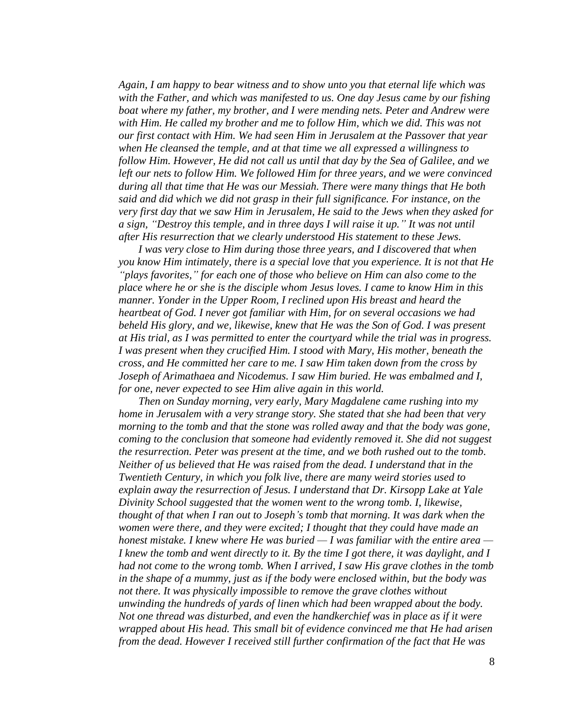*Again, I am happy to bear witness and to show unto you that eternal life which was with the Father, and which was manifested to us. One day Jesus came by our fishing boat where my father, my brother, and I were mending nets. Peter and Andrew were with Him. He called my brother and me to follow Him, which we did. This was not our first contact with Him. We had seen Him in Jerusalem at the Passover that year when He cleansed the temple, and at that time we all expressed a willingness to follow Him. However, He did not call us until that day by the Sea of Galilee, and we left our nets to follow Him. We followed Him for three years, and we were convinced during all that time that He was our Messiah. There were many things that He both said and did which we did not grasp in their full significance. For instance, on the very first day that we saw Him in Jerusalem, He said to the Jews when they asked for a sign, "Destroy this temple, and in three days I will raise it up." It was not until after His resurrection that we clearly understood His statement to these Jews.*

*I was very close to Him during those three years, and I discovered that when you know Him intimately, there is a special love that you experience. It is not that He "plays favorites," for each one of those who believe on Him can also come to the place where he or she is the disciple whom Jesus loves. I came to know Him in this manner. Yonder in the Upper Room, I reclined upon His breast and heard the heartbeat of God. I never got familiar with Him, for on several occasions we had beheld His glory, and we, likewise, knew that He was the Son of God. I was present at His trial, as I was permitted to enter the courtyard while the trial was in progress. I was present when they crucified Him. I stood with Mary, His mother, beneath the cross, and He committed her care to me. I saw Him taken down from the cross by Joseph of Arimathaea and Nicodemus. I saw Him buried. He was embalmed and I, for one, never expected to see Him alive again in this world.*

*Then on Sunday morning, very early, Mary Magdalene came rushing into my home in Jerusalem with a very strange story. She stated that she had been that very morning to the tomb and that the stone was rolled away and that the body was gone, coming to the conclusion that someone had evidently removed it. She did not suggest the resurrection. Peter was present at the time, and we both rushed out to the tomb. Neither of us believed that He was raised from the dead. I understand that in the Twentieth Century, in which you folk live, there are many weird stories used to explain away the resurrection of Jesus. I understand that Dr. Kirsopp Lake at Yale Divinity School suggested that the women went to the wrong tomb. I, likewise, thought of that when I ran out to Joseph's tomb that morning. It was dark when the women were there, and they were excited; I thought that they could have made an honest mistake. I knew where He was buried — I was familiar with the entire area — I knew the tomb and went directly to it. By the time I got there, it was daylight, and I had not come to the wrong tomb. When I arrived, I saw His grave clothes in the tomb in the shape of a mummy, just as if the body were enclosed within, but the body was not there. It was physically impossible to remove the grave clothes without unwinding the hundreds of yards of linen which had been wrapped about the body. Not one thread was disturbed, and even the handkerchief was in place as if it were wrapped about His head. This small bit of evidence convinced me that He had arisen from the dead. However I received still further confirmation of the fact that He was*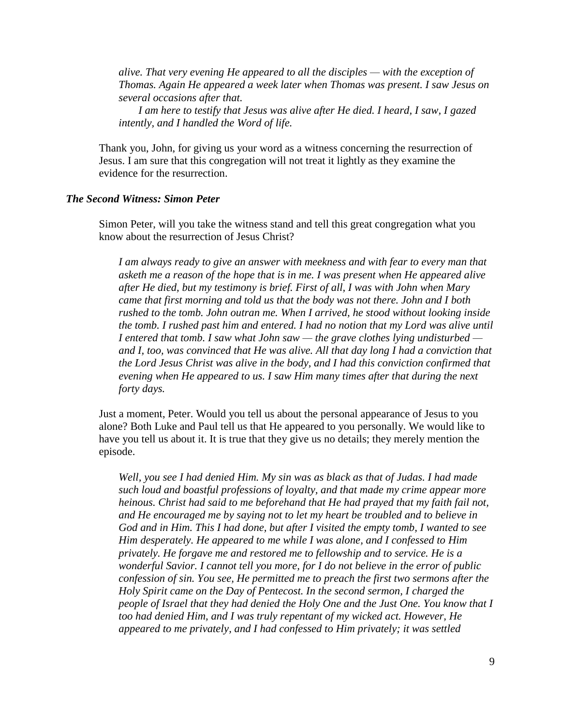*alive. That very evening He appeared to all the disciples — with the exception of Thomas. Again He appeared a week later when Thomas was present. I saw Jesus on several occasions after that.*

*I am here to testify that Jesus was alive after He died. I heard, I saw, I gazed intently, and I handled the Word of life.*

Thank you, John, for giving us your word as a witness concerning the resurrection of Jesus. I am sure that this congregation will not treat it lightly as they examine the evidence for the resurrection.

# *The Second Witness: Simon Peter*

Simon Peter, will you take the witness stand and tell this great congregation what you know about the resurrection of Jesus Christ?

*I am always ready to give an answer with meekness and with fear to every man that asketh me a reason of the hope that is in me. I was present when He appeared alive after He died, but my testimony is brief. First of all, I was with John when Mary came that first morning and told us that the body was not there. John and I both rushed to the tomb. John outran me. When I arrived, he stood without looking inside the tomb. I rushed past him and entered. I had no notion that my Lord was alive until I entered that tomb. I saw what John saw — the grave clothes lying undisturbed and I, too, was convinced that He was alive. All that day long I had a conviction that the Lord Jesus Christ was alive in the body, and I had this conviction confirmed that evening when He appeared to us. I saw Him many times after that during the next forty days.*

Just a moment, Peter. Would you tell us about the personal appearance of Jesus to you alone? Both Luke and Paul tell us that He appeared to you personally. We would like to have you tell us about it. It is true that they give us no details; they merely mention the episode.

*Well, you see I had denied Him. My sin was as black as that of Judas. I had made such loud and boastful professions of loyalty, and that made my crime appear more heinous. Christ had said to me beforehand that He had prayed that my faith fail not, and He encouraged me by saying not to let my heart be troubled and to believe in God and in Him. This I had done, but after I visited the empty tomb, I wanted to see Him desperately. He appeared to me while I was alone, and I confessed to Him privately. He forgave me and restored me to fellowship and to service. He is a wonderful Savior. I cannot tell you more, for I do not believe in the error of public confession of sin. You see, He permitted me to preach the first two sermons after the Holy Spirit came on the Day of Pentecost. In the second sermon, I charged the people of Israel that they had denied the Holy One and the Just One. You know that I too had denied Him, and I was truly repentant of my wicked act. However, He appeared to me privately, and I had confessed to Him privately; it was settled*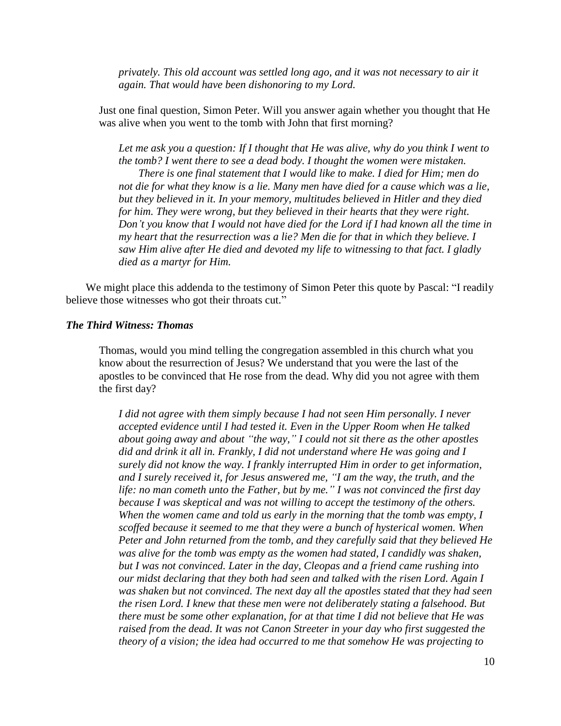*privately. This old account was settled long ago, and it was not necessary to air it again. That would have been dishonoring to my Lord.*

Just one final question, Simon Peter. Will you answer again whether you thought that He was alive when you went to the tomb with John that first morning?

*Let me ask you a question: If I thought that He was alive, why do you think I went to the tomb? I went there to see a dead body. I thought the women were mistaken. There is one final statement that I would like to make. I died for Him; men do not die for what they know is a lie. Many men have died for a cause which was a lie, but they believed in it. In your memory, multitudes believed in Hitler and they died for him. They were wrong, but they believed in their hearts that they were right. Don't you know that I would not have died for the Lord if I had known all the time in my heart that the resurrection was a lie? Men die for that in which they believe. I saw Him alive after He died and devoted my life to witnessing to that fact. I gladly died as a martyr for Him.*

We might place this addenda to the testimony of Simon Peter this quote by Pascal: "I readily believe those witnesses who got their throats cut."

#### *The Third Witness: Thomas*

Thomas, would you mind telling the congregation assembled in this church what you know about the resurrection of Jesus? We understand that you were the last of the apostles to be convinced that He rose from the dead. Why did you not agree with them the first day?

*I did not agree with them simply because I had not seen Him personally. I never accepted evidence until I had tested it. Even in the Upper Room when He talked about going away and about "the way," I could not sit there as the other apostles did and drink it all in. Frankly, I did not understand where He was going and I surely did not know the way. I frankly interrupted Him in order to get information, and I surely received it, for Jesus answered me, "I am the way, the truth, and the life: no man cometh unto the Father, but by me." I was not convinced the first day because I was skeptical and was not willing to accept the testimony of the others. When the women came and told us early in the morning that the tomb was empty, I scoffed because it seemed to me that they were a bunch of hysterical women. When Peter and John returned from the tomb, and they carefully said that they believed He was alive for the tomb was empty as the women had stated, I candidly was shaken, but I was not convinced. Later in the day, Cleopas and a friend came rushing into our midst declaring that they both had seen and talked with the risen Lord. Again I was shaken but not convinced. The next day all the apostles stated that they had seen the risen Lord. I knew that these men were not deliberately stating a falsehood. But there must be some other explanation, for at that time I did not believe that He was raised from the dead. It was not Canon Streeter in your day who first suggested the theory of a vision; the idea had occurred to me that somehow He was projecting to*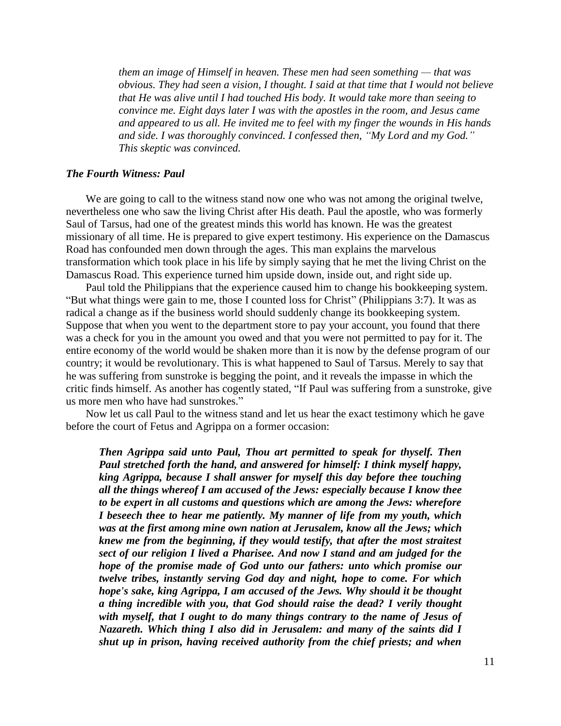*them an image of Himself in heaven. These men had seen something — that was obvious. They had seen a vision, I thought. I said at that time that I would not believe that He was alive until I had touched His body. It would take more than seeing to convince me. Eight days later I was with the apostles in the room, and Jesus came and appeared to us all. He invited me to feel with my finger the wounds in His hands and side. I was thoroughly convinced. I confessed then, "My Lord and my God." This skeptic was convinced.*

## *The Fourth Witness: Paul*

We are going to call to the witness stand now one who was not among the original twelve, nevertheless one who saw the living Christ after His death. Paul the apostle, who was formerly Saul of Tarsus, had one of the greatest minds this world has known. He was the greatest missionary of all time. He is prepared to give expert testimony. His experience on the Damascus Road has confounded men down through the ages. This man explains the marvelous transformation which took place in his life by simply saying that he met the living Christ on the Damascus Road. This experience turned him upside down, inside out, and right side up.

Paul told the Philippians that the experience caused him to change his bookkeeping system. "But what things were gain to me, those I counted loss for Christ" (Philippians 3:7). It was as radical a change as if the business world should suddenly change its bookkeeping system. Suppose that when you went to the department store to pay your account, you found that there was a check for you in the amount you owed and that you were not permitted to pay for it. The entire economy of the world would be shaken more than it is now by the defense program of our country; it would be revolutionary. This is what happened to Saul of Tarsus. Merely to say that he was suffering from sunstroke is begging the point, and it reveals the impasse in which the critic finds himself. As another has cogently stated, "If Paul was suffering from a sunstroke, give us more men who have had sunstrokes."

Now let us call Paul to the witness stand and let us hear the exact testimony which he gave before the court of Fetus and Agrippa on a former occasion:

*Then Agrippa said unto Paul, Thou art permitted to speak for thyself. Then Paul stretched forth the hand, and answered for himself: I think myself happy, king Agrippa, because I shall answer for myself this day before thee touching all the things whereof I am accused of the Jews: especially because I know thee to be expert in all customs and questions which are among the Jews: wherefore I beseech thee to hear me patiently. My manner of life from my youth, which was at the first among mine own nation at Jerusalem, know all the Jews; which knew me from the beginning, if they would testify, that after the most straitest sect of our religion I lived a Pharisee. And now I stand and am judged for the hope of the promise made of God unto our fathers: unto which promise our twelve tribes, instantly serving God day and night, hope to come. For which hope's sake, king Agrippa, I am accused of the Jews. Why should it be thought a thing incredible with you, that God should raise the dead? I verily thought with myself, that I ought to do many things contrary to the name of Jesus of Nazareth. Which thing I also did in Jerusalem: and many of the saints did I shut up in prison, having received authority from the chief priests; and when*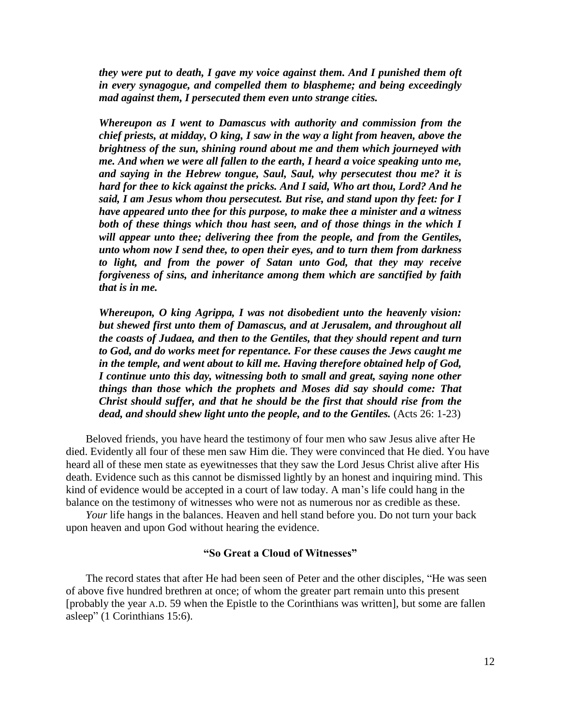*they were put to death, I gave my voice against them. And I punished them oft in every synagogue, and compelled them to blaspheme; and being exceedingly mad against them, I persecuted them even unto strange cities.*

*Whereupon as I went to Damascus with authority and commission from the chief priests, at midday, O king, I saw in the way a light from heaven, above the brightness of the sun, shining round about me and them which journeyed with me. And when we were all fallen to the earth, I heard a voice speaking unto me, and saying in the Hebrew tongue, Saul, Saul, why persecutest thou me? it is hard for thee to kick against the pricks. And I said, Who art thou, Lord? And he said, I am Jesus whom thou persecutest. But rise, and stand upon thy feet: for I have appeared unto thee for this purpose, to make thee a minister and a witness both of these things which thou hast seen, and of those things in the which I will appear unto thee; delivering thee from the people, and from the Gentiles, unto whom now I send thee, to open their eyes, and to turn them from darkness to light, and from the power of Satan unto God, that they may receive forgiveness of sins, and inheritance among them which are sanctified by faith that is in me.*

*Whereupon, O king Agrippa, I was not disobedient unto the heavenly vision: but shewed first unto them of Damascus, and at Jerusalem, and throughout all the coasts of Judaea, and then to the Gentiles, that they should repent and turn to God, and do works meet for repentance. For these causes the Jews caught me in the temple, and went about to kill me. Having therefore obtained help of God, I continue unto this day, witnessing both to small and great, saying none other things than those which the prophets and Moses did say should come: That Christ should suffer, and that he should be the first that should rise from the dead, and should shew light unto the people, and to the Gentiles.* (Acts 26: 1-23)

Beloved friends, you have heard the testimony of four men who saw Jesus alive after He died. Evidently all four of these men saw Him die. They were convinced that He died. You have heard all of these men state as eyewitnesses that they saw the Lord Jesus Christ alive after His death. Evidence such as this cannot be dismissed lightly by an honest and inquiring mind. This kind of evidence would be accepted in a court of law today. A man's life could hang in the balance on the testimony of witnesses who were not as numerous nor as credible as these.

*Your* life hangs in the balances. Heaven and hell stand before you. Do not turn your back upon heaven and upon God without hearing the evidence.

# **"So Great a Cloud of Witnesses"**

The record states that after He had been seen of Peter and the other disciples, "He was seen of above five hundred brethren at once; of whom the greater part remain unto this present [probably the year A.D. 59 when the Epistle to the Corinthians was written], but some are fallen asleep" (1 Corinthians 15:6).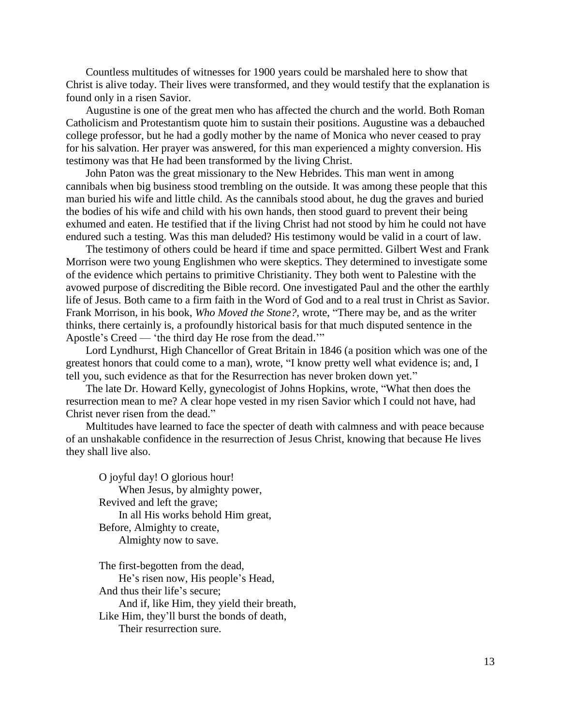Countless multitudes of witnesses for 1900 years could be marshaled here to show that Christ is alive today. Their lives were transformed, and they would testify that the explanation is found only in a risen Savior.

Augustine is one of the great men who has affected the church and the world. Both Roman Catholicism and Protestantism quote him to sustain their positions. Augustine was a debauched college professor, but he had a godly mother by the name of Monica who never ceased to pray for his salvation. Her prayer was answered, for this man experienced a mighty conversion. His testimony was that He had been transformed by the living Christ.

John Paton was the great missionary to the New Hebrides. This man went in among cannibals when big business stood trembling on the outside. It was among these people that this man buried his wife and little child. As the cannibals stood about, he dug the graves and buried the bodies of his wife and child with his own hands, then stood guard to prevent their being exhumed and eaten. He testified that if the living Christ had not stood by him he could not have endured such a testing. Was this man deluded? His testimony would be valid in a court of law.

The testimony of others could be heard if time and space permitted. Gilbert West and Frank Morrison were two young Englishmen who were skeptics. They determined to investigate some of the evidence which pertains to primitive Christianity. They both went to Palestine with the avowed purpose of discrediting the Bible record. One investigated Paul and the other the earthly life of Jesus. Both came to a firm faith in the Word of God and to a real trust in Christ as Savior. Frank Morrison, in his book, *Who Moved the Stone?,* wrote, "There may be, and as the writer thinks, there certainly is, a profoundly historical basis for that much disputed sentence in the Apostle's Creed — 'the third day He rose from the dead.'"

Lord Lyndhurst, High Chancellor of Great Britain in 1846 (a position which was one of the greatest honors that could come to a man), wrote, "I know pretty well what evidence is; and, I tell you, such evidence as that for the Resurrection has never broken down yet."

The late Dr. Howard Kelly, gynecologist of Johns Hopkins, wrote, "What then does the resurrection mean to me? A clear hope vested in my risen Savior which I could not have, had Christ never risen from the dead."

Multitudes have learned to face the specter of death with calmness and with peace because of an unshakable confidence in the resurrection of Jesus Christ, knowing that because He lives they shall live also.

O joyful day! O glorious hour! When Jesus, by almighty power, Revived and left the grave; In all His works behold Him great, Before, Almighty to create, Almighty now to save.

The first-begotten from the dead, He's risen now, His people's Head, And thus their life's secure; And if, like Him, they yield their breath, Like Him, they'll burst the bonds of death, Their resurrection sure.